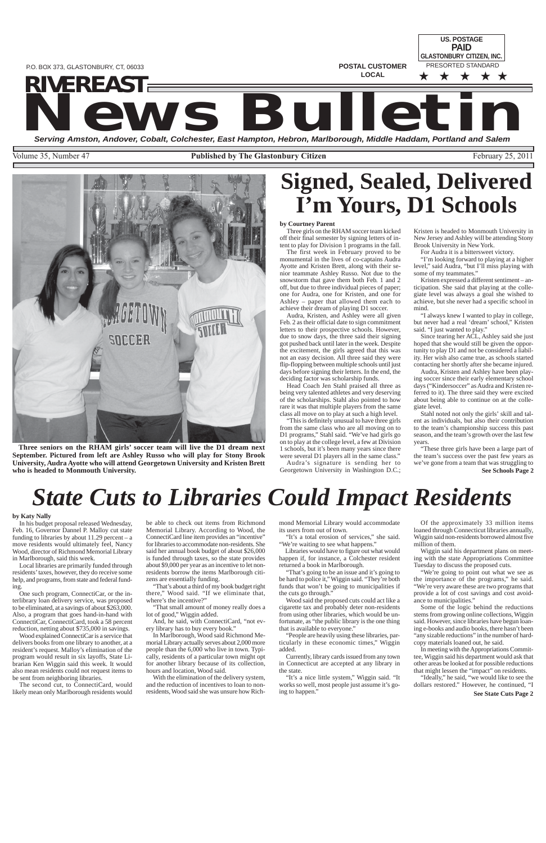**POSTAL CUSTOMER LOCAL**

**US. POSTAGE** PRESORTED STANDARD ★ ★ ★ ★ ★ **PAID GLASTONBURY CITIZEN, INC.**

# **NEWEAST SEAST SERVIER AND SERVIERS AND RESPONSITION SERVIEWS AND RESPONSITION SERVIEWS AND RESPONSITION OF THE SERVIEWS AND RESPONSITION OF THE SERVIEWS AND RESPONSITION OF THE SALEM SALEM SALEM SALEM SALEM SALEM SALEM SA**

Volume 35, Number 47 **Published by The Glastonbury Citizen** February 25, 2011

*RIVEREAST*

P.O. BOX 373, GLASTONBURY, CT, 06033

# **Signed, Sealed, Delivered I'm Yours, D1 Schools**



**Three seniors on the RHAM girls' soccer team will live the D1 dream next September. Pictured from left are Ashley Russo who will play for Stony Brook University, Audra Ayotte who will attend Georgetown University and Kristen Brett who is headed to Monmouth University.**

## **by Courtney Parent**

Three girls on the RHAM soccer team kicked off their final semester by signing letters of intent to play for Division 1 programs in the fall.

The first week in February proved to be monumental in the lives of co-captains Audra Ayotte and Kristen Brett, along with their senior teammate Ashley Russo. Not due to the snowstorm that gave them both Feb. 1 and 2 off, but due to three individual pieces of paper; one for Audra, one for Kristen, and one for Ashley – paper that allowed them each to achieve their dream of playing D1 soccer.

Audra, Kristen, and Ashley were all given Feb. 2 as their official date to sign commitment letters to their prospective schools. However, due to snow days, the three said their signing got pushed back until later in the week. Despite the excitement, the girls agreed that this was not an easy decision. All three said they were flip-flopping between multiple schools until just days before signing their letters. In the end, the deciding factor was scholarship funds.

Head Coach Jen Stahl praised all three as being very talented athletes and very deserving of the scholarships. Stahl also pointed to how rare it was that multiple players from the same class all move on to play at such a high level.

> **See Schools Page 2** "These three girls have been a large part of the team's success over the past few years as we've gone from a team that was struggling to

"This is definitely unusual to have three girls from the same class who are all moving on to D1 programs," Stahl said. "We've had girls go on to play at the college level, a few at Division 1 schools, but it's been many years since there were several D1 players all in the same class."

Audra's signature is sending her to Georgetown University in Washington D.C.;

Kristen is headed to Monmouth University in New Jersey and Ashley will be attending Stony Brook University in New York.

For Audra it is a bittersweet victory.

"I'm looking forward to playing at a higher level," said Audra, "but I'll miss playing with some of my teammates."

Kristen expressed a different sentiment – anticipation. She said that playing at the collegiate level was always a goal she wished to achieve, but she never had a specific school in mind.

"I always knew I wanted to play in college, but never had a real 'dream' school," Kristen said. "I just wanted to play."

Since tearing her ACL, Ashley said she just hoped that she would still be given the opportunity to play D1 and not be considered a liability. Her wish also came true, as schools started contacting her shortly after she became injured.

"That's going to be an issue and it's going to be hard to police it," Wiggin said. "They're both funds that won't be going to municipalities if the cuts go through."

Audra, Kristen and Ashley have been playing soccer since their early elementary school days ("Kindersoccer" as Audra and Kristen referred to it). The three said they were excited about being able to continue on at the collegiate level.

Stahl noted not only the girls' skill and talent as individuals, but also their contribution to the team's championship success this past season, and the team's growth over the last few years.

**See State Cuts Page 2**

# *State Cuts to Libraries Could Impact Residents*

## **by Katy Nally**

In his budget proposal released Wednesday, Feb. 16, Governor Dannel P. Malloy cut state funding to libraries by about  $11.29$  percent – a move residents would ultimately feel, Nancy Wood, director of Richmond Memorial Library in Marlborough, said this week.

Local libraries are primarily funded through residents' taxes, however, they do receive some help, and programs, from state and federal funding.

One such program, ConnectiCar, or the interlibrary loan delivery service, was proposed to be eliminated, at a savings of about  $\hat{$}26\hat{3}$ ,000. Also, a program that goes hand-in-hand with

ConnectiCar, ConnectiCard, took a 58 percent reduction, netting about \$735,000 in savings.

Wood explained ConnectiCar is a service that delivers books from one library to another, at a resident's request. Malloy's elimination of the program would result in six layoffs, State Librarian Ken Wiggin said this week. It would also mean residents could not request items to be sent from neighboring libraries.

The second cut, to ConnectiCard, would likely mean only Marlborough residents would be able to check out items from Richmond Memorial Library. According to Wood, the ConnectiCard line item provides an "incentive" for libraries to accommodate non-residents. She said her annual book budget of about \$26,000 is funded through taxes, so the state provides about \$9,000 per year as an incentive to let nonresidents borrow the items Marlborough citizens are essentially funding.

"That's about a third of my book budget right there," Wood said. "If we eliminate that, where's the incentive?"

"That small amount of money really does a lot of good," Wiggin added.

And, he said, with ConnectiCard, "not every library has to buy every book."

In Marlborough, Wood said Richmond Memorial Library actually serves about 2,000 more people than the 6,000 who live in town. Typically, residents of a particular town might opt for another library because of its collection, hours and location, Wood said.

With the elimination of the delivery system, and the reduction of incentives to loan to nonresidents, Wood said she was unsure how Richmond Memorial Library would accommodate its users from out of town.

"It's a total erosion of services," she said. "We're waiting to see what happens."

Libraries would have to figure out what would happen if, for instance, a Colchester resident returned a book in Marlborough.

Wood said the proposed cuts could act like a cigarette tax and probably deter non-residents from using other libraries, which would be unfortunate, as "the public library is the one thing that is available to everyone."

"People are heavily using these libraries, particularly in these economic times," Wiggin added.

Currently, library cards issued from any town in Connecticut are accepted at any library in the state.

"It's a nice little system," Wiggin said. "It works so well, most people just assume it's going to happen."

Of the approximately 33 million items loaned through Connecticut libraries annually, Wiggin said non-residents borrowed almost five million of them.

Wiggin said his department plans on meeting with the state Appropriations Committee Tuesday to discuss the proposed cuts.

"We're going to point out what we see as the importance of the programs," he said. "We're very aware these are two programs that provide a lot of cost savings and cost avoidance to municipalities."

Some of the logic behind the reductions stems from growing online collections, Wiggin

said. However, since libraries have begun loaning e-books and audio books, there hasn't been "any sizable reductions" in the number of hardcopy materials loaned out, he said.

In meeting with the Appropriations Committee, Wiggin said his department would ask that other areas be looked at for possible reductions that might lessen the "impact" on residents.

"Ideally," he said, "we would like to see the dollars restored." However, he continued, "I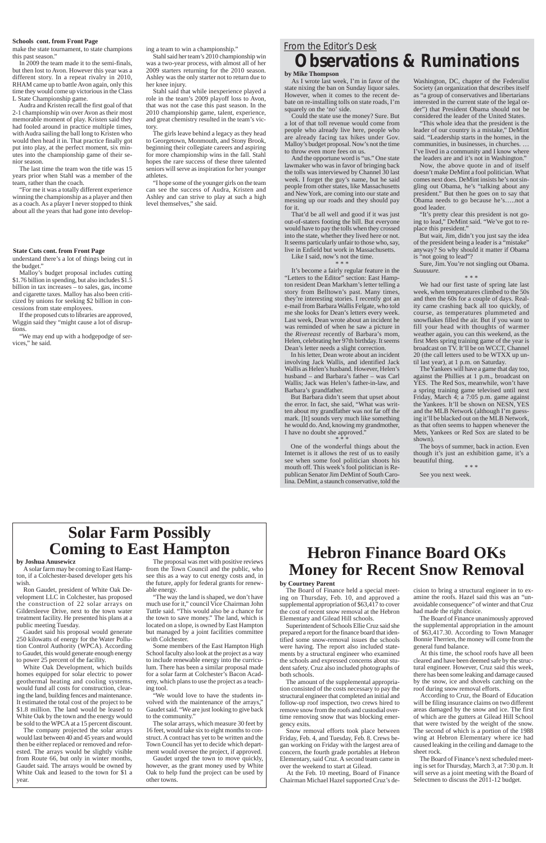#### **Schools cont. from Front Page**

### **State Cuts cont. from Front Page**

make the state tournament, to state champions this past season."

In 2009 the team made it to the semi-finals, but then lost to Avon. However this year was a different story. In a repeat rivalry in 2010, RHAM came up to battle Avon again, only this time they would come up victorious in the Class L State Championship game.

Audra and Kristen recall the first goal of that 2-1 championship win over Avon as their most memorable moment of play. Kristen said they had fooled around in practice multiple times, with Audra sailing the ball long to Kristen who would then head it in. That practice finally got put into play, at the perfect moment, six minutes into the championship game of their senior season.

The last time the team won the title was 15 years prior when Stahl was a member of the team, rather than the coach.

"For me it was a totally different experience winning the championship as a player and then as a coach. As a player I never stopped to think about all the years that had gone into developing a team to win a championship."

Stahl said her team's 2010 championship win was a two-year process, with almost all of her 2009 starters returning for the 2010 season. Ashley was the only starter not to return due to her knee injury.

Stahl said that while inexperience played a role in the team's 2009 playoff loss to Avon, that was not the case this past season. In the 2010 championship game, talent, experience, and great chemistry resulted in the team's victory.

The girls leave behind a legacy as they head to Georgetown, Monmouth, and Stony Brook, beginning their collegiate careers and aspiring for more championship wins in the fall. Stahl hopes the rare success of these three talented seniors will serve as inspiration for her younger athletes.

"I hope some of the younger girls on the team can see the success of Audra, Kristen and Ashley and can strive to play at such a high level themselves," she said.

understand there's a lot of things being cut in the budget."

Malloy's budget proposal includes cutting \$1.76 billion in spending, but also includes \$1.5 billion in tax increases – to sales, gas, income and cigarette taxes. Malloy has also been criticized by unions for seeking \$2 billion in concessions from state employees.

If the proposed cuts to libraries are approved, Wiggin said they "might cause a lot of disruptions.

"We may end up with a hodgepodge of services," he said.

# *From the Editor's Desk* **Observations & Ruminations**

### **by Mike Thompson**

As I wrote last week, I'm in favor of the state nixing the ban on Sunday liquor sales. However, when it comes to the recent debate on re-installing tolls on state roads, I'm squarely on the 'no' side.

Could the state use the money? Sure. But a lot of that toll revenue would come from people who already live here, people who are already facing tax hikes under Gov. Malloy's budget proposal. Now's not the time to throw even more fees on us.

And the opportune word is "us." One state lawmaker who was in favor of bringing back the tolls was interviewed by Channel 30 last week. I forget the guy's name, but he said people from other states, like Massachusetts and New York, are coming into our state and messing up our roads and they should pay for it.

That'd be all well and good if it was just out-of-staters footing the bill. But everyone would have to pay the tolls when they crossed into the state, whether they lived here or not. It seems particularly unfair to those who, say, live in Enfield but work in Massachusetts.

Like I said, now's not the time.

## \* \* \*

It's become a fairly regular feature in the "Letters to the Editor" section: East Hampton resident Dean Markham's letter telling a story from Belltown's past. Many times, they're interesting stories. I recently got an e-mail from Barbara Wallis Felgate, who told me she looks for Dean's letters every week. Last week, Dean wrote about an incident he was reminded of when he saw a picture in the *Rivereast* recently of Barbara's mom, Helen, celebrating her 97th birthday. It seems Dean's letter needs a slight correction.

In his letter, Dean wrote about an incident involving Jack Wallis, and identified Jack Wallis as Helen's husband. However, Helen's husband – and Barbara's father – was Carl Wallis; Jack was Helen's father-in-law, and Barbara's grandfather.

But Barbara didn't seem that upset about the error. In fact, she said, "What was written about my grandfather was not far off the mark. [It] sounds very much like something he would do. And, knowing my grandmother, I have no doubt she approved."

\* \* \*

One of the wonderful things about the Internet is it allows the rest of us to easily see when some fool politician shoots his mouth off. This week's fool politician is Republican Senator Jim DeMint of South Carolina. DeMint, a staunch conservative, told the

Washington, DC, chapter of the Federalist Society (an organization that describes itself as "a group of conservatives and libertarians interested in the current state of the legal order") that President Obama should not be considered the leader of the United States.

"This whole idea that the president is the leader of our country is a mistake," DeMint said. "Leadership starts in the homes, in the communities, in businesses, in churches. … I've lived in a community and I know where the leaders are and it's not in Washington."

Now, the above quote in and of itself doesn't make DeMint a fool politician. What comes next does. DeMint insists he's not singling out Obama, he's "talking about any president." But then he goes on to say that Obama needs to go because he's…..not a good leader.

"It's pretty clear this president is not going to lead," DeMint said. "We've got to replace this president."

But wait, Jim, didn't you just say the idea of the president being a leader is a "mistake" anyway? So why should it matter if Obama is "not going to lead"?

Sure, Jim. You're not singling out Obama. *Suuuuure.*

\* \* \*

The Board of Finance unanimously approved the supplemental appropriation in the amount of \$63,417.30. According to Town Manager Bonnie Therrien, the money will come from the general fund balance. At this time, the school roofs have all been cleared and have been deemed safe by the structural engineer. However, Cruz said this week, there has been some leaking and damage caused by the snow, ice and shovels catching on the roof during snow removal efforts. According to Cruz, the Board of Education will be filing insurance claims on two different areas damaged by the snow and ice. The first of which are the gutters at Gilead Hill School that were twisted by the weight of the snow. The second of which is a portion of the 1988 wing at Hebron Elementary where ice had caused leaking in the ceiling and damage to the sheet rock. The Board of Finance's next scheduled meeting is set for Thursday, March 3, at 7:30 p.m. It will serve as a joint meeting with the Board of Selectmen to discuss the 2011-12 budget.

We had our first taste of spring late last week, when temperatures climbed to the 50s and then the 60s for a couple of days. Reality came crashing back all too quickly, of course, as temperatures plummeted and snowflakes filled the air. But if you want to fill your head with thoughts of warmer weather again, you can this weekend, as the first Mets spring training game of the year is broadcast on TV. It'll be on WCCT, Channel 20 (the call letters used to be WTXX up until last year), at 1 p.m. on Saturday.

The Yankees will have a game that day too, against the Phillies at 1 p.m., broadcast on YES. The Red Sox, meanwhile, won't have a spring training game televised until next Friday, March 4; a 7:05 p.m. game against the Yankees. It'll be shown on NESN, YES and the MLB Network (although I'm guessing it'll be blacked out on the MLB Network, as that often seems to happen whenever the Mets, Yankees or Red Sox are slated to be shown).

The boys of summer, back in action. Even though it's just an exhibition game, it's a beautiful thing. \* \* \*

See you next week.

# **Solar Farm Possibly Coming to East Hampton**

## **by Joshua Anusewicz**

A solar farm may be coming to East Hampton, if a Colchester-based developer gets his wish.

Ron Gaudet, president of White Oak Development LLC in Colchester, has proposed the construction of 22 solar arrays on Gildersleeve Drive, next to the town water treatment facility. He presented his plans at a

public meeting Tuesday.

Gaudet said his proposal would generate 250 kilowatts of energy for the Water Pollution Control Authority (WPCA). According to Gaudet, this would generate enough energy to power 25 percent of the facility.

White Oak Development, which builds homes equipped for solar electric to power geothermal heating and cooling systems, would fund all costs for construction, clearing the land, building fences and maintenance. It estimated the total cost of the project to be \$1.8 million. The land would be leased to White Oak by the town and the energy would be sold to the WPCA at a 15 percent discount.

The company projected the solar arrays would last between 40 and 45 years and would then be either replaced or removed and reforested. The arrays would be slightly visible from Route 66, but only in winter months, Gaudet said. The arrays would be owned by White Oak and leased to the town for \$1 a year.

The proposal was met with positive reviews from the Town Council and the public, who see this as a way to cut energy costs and, in the future, apply for federal grants for renewable energy.

"The way the land is shaped, we don't have much use for it," council Vice Chairman John Tuttle said. "This would also be a chance for the town to save money." The land, which is located on a slope, is owned by East Hampton but managed by a joint facilities committee with Colchester.

Some members of the East Hampton High School faculty also look at the project as a way to include renewable energy into the curriculum. There has been a similar proposal made for a solar farm at Colchester's Bacon Academy, which plans to use the project as a teaching tool.

"We would love to have the students involved with the maintenance of the arrays,' Gaudet said. "We are just looking to give back to the community."

The solar arrays, which measure 30 feet by 16 feet, would take six to eight months to construct. A contract has yet to be written and the Town Council has yet to decide which department would oversee the project, if approved.

Gaudet urged the town to move quickly, however, as the grant money used by White Oak to help fund the project can be used by other towns.

# **Hebron Finance Board OKs Money for Recent Snow Removal**

# **by Courtney Parent**

The Board of Finance held a special meeting on Thursday, Feb. 10, and approved a supplemental appropriation of \$63,417 to cover the cost of recent snow removal at the Hebron Elementary and Gilead Hill schools.

Superintendent of Schools Ellie Cruz said she prepared a report for the finance board that identified some snow-removal issues the schools were having. The report also included statements by a structural engineer who examined the schools and expressed concerns about student safety. Cruz also included photographs of both schools.

The amount of the supplemental appropriation consisted of the costs necessary to pay the structural engineer that completed an initial and follow-up roof inspection, two crews hired to remove snow from the roofs and custodial overtime removing snow that was blocking emergency exits.

Snow removal efforts took place between Friday, Feb. 4, and Tuesday, Feb. 8. Crews began working on Friday with the largest area of concern, the fourth grade portables at Hebron Elementary, said Cruz. A second team came in over the weekend to start at Gilead.

At the Feb. 10 meeting, Board of Finance Chairman Michael Hazel supported Cruz's decision to bring a structural engineer in to examine the roofs. Hazel said this was an "unavoidable consequence" of winter and that Cruz had made the right choice.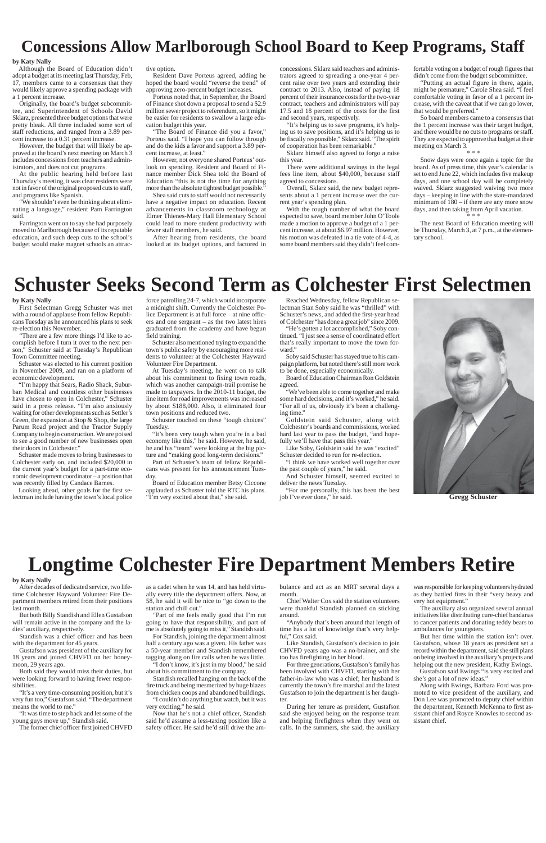# **Concessions Allow Marlborough School Board to Keep Programs, Staff**

#### **by Katy Nally**

Although the Board of Education didn't adopt a budget at its meeting last Thursday, Feb, 17, members came to a consensus that they would likely approve a spending package with a 1 percent increase.

Originally, the board's budget subcommittee, and Superintendent of Schools David Sklarz, presented three budget options that were pretty bleak. All three included some sort of staff reductions, and ranged from a 3.89 percent increase to a 0.31 percent increase.

However, the budget that will likely be approved at the board's next meeting on March 3 includes concessions from teachers and administrators, and does not cut programs.

At the public hearing held before last Thursday's meeting, it was clear residents were not in favor of the original proposed cuts to staff, and programs like Spanish.

"We shouldn't even be thinking about eliminating a language," resident Pam Farrington said.

Farrington went on to say she had purposely moved to Marlborough because of its reputable education, and such deep cuts to the school's budget would make magnet schools an attractive option.

Resident Dave Porteus agreed, adding he hoped the board would "reverse the trend" of approving zero-percent budget increases.

Porteus noted that, in September, the Board of Finance shot down a proposal to send a \$2.9 million sewer project to referendum, so it might be easier for residents to swallow a large education budget this year.

"The Board of Finance did you a favor," Porteus said. "I hope you can follow through and do the kids a favor and support a 3.89 percent increase, at least."

However, not everyone shared Porteus' outlook on spending. Resident and Board of Finance member Dick Shea told the Board of Education "this is not the time for anything more than the absolute tightest budget possible."

Shea said cuts to staff would not necessarily have a negative impact on education. Recent advancements in classroom technology at Elmer Thienes-Mary Hall Elementary School could lead to more student productivity with fewer staff members, he said.

After hearing from residents, the board looked at its budget options, and factored in

# **Schuster Seeks Second Term as Colchester First Selectmen**



**Gregg Schuster**

### **by Katy Nally**

First Selectman Gregg Schuster was met with a round of applause from fellow Republicans Tuesday as he announced his plans to seek re-election this November.

"There are a few more things I'd like to accomplish before I turn it over to the next person," Schuster said at Tuesday's Republican Town Committee meeting.

> Goldstein said Schuster, along with Colchester's boards and commissions, worked hard last year to pass the budget, "and hopefully we'll have that pass this year."

Schuster was elected to his current position in November 2009, and ran on a platform of economic development.

"I'm happy that Sears, Radio Shack, Suburban Medical and countless other businesses have chosen to open in Colchester," Schuster said in a press release. "I'm also anxiously waiting for other developments such as Settler's Green, the expansion at Stop & Shop, the large Parum Road project and the Tractor Supply Company to begin construction. We are poised to see a good number of new businesses open their doors in Colchester."

Schuster made moves to bring businesses to Colchester early on, and included \$20,000 in the current year's budget for a part-time economic development coordinator – a position that was recently filled by Candace Barnes.

Looking ahead, other goals for the first selectman include having the town's local police

force patrolling 24-7, which would incorporate a midnight shift. Currently the Colchester Police Department is at full force – at nine officers and one sergeant – as the two latest hires graduated from the academy and have begun field training.

Schuster also mentioned trying to expand the town's public safety by encouraging more residents to volunteer at the Colchester Hayward Volunteer Fire Department.

At Tuesday's meeting, he went on to talk about his commitment to fixing town roads, which was another campaign-trail promise he made to taxpayers. In the 2010-11 budget, the line item for road improvements was increased by about \$188,000. Also, it eliminated four town positions and reduced two.

Schuster touched on these "tough choices" Tuesday.

"It's been very tough when you're in a bad economy like this," he said. However, he said, he and his "team" were looking at the big picture and "making good long-term decisions."

Part of Schuster's team of fellow Republicans was present for his announcement Tuesday.

Board of Education member Betsy Ciccone applauded as Schuster told the RTC his plans. "I'm very excited about that," she said.

Reached Wednesday, fellow Republican selectman Stan Soby said he was "thrilled" with Schuster's news, and added the first-year head of Colchester "has done a great job" since 2009.

"He's gotten a lot accomplished," Soby continued. "I just see a sense of coordinated effort that's really important to move the town forward."

Soby said Schuster has stayed true to his campaign platform, but noted there's still more work to be done, especially economically.

Board of Education Chairman Ron Goldstein agreed.

"We've been able to come together and make some hard decisions, and it's worked," he said. "For all of us, obviously it's been a challenging time."

Like Soby, Goldstein said he was "excited" Schuster decided to run for re-election.

"I think we have worked well together over the past couple of years," he said.

And Schuster himself, seemed excited to deliver the news Tuesday.

"For me personally, this has been the best job I've ever done," he said.

concessions. Sklarz said teachers and administrators agreed to spreading a one-year 4 percent raise over two years and extending their contract to 2013. Also, instead of paying 18 percent of their insurance costs for the two-year contract, teachers and administrators will pay 17.5 and 18 percent of the costs for the first and second years, respectively.

"It's helping us to save programs, it's helping us to save positions, and it's helping us to be fiscally responsible," Sklarz said. "The spirit of cooperation has been remarkable."

Sklarz himself also agreed to forgo a raise this year.

There were additional savings in the legal fees line item, about \$40,000, because staff agreed to concessions.

Overall, Sklarz said, the new budget represents about a 1 percent increase over the current year's spending plan.

With the rough number of what the board expected to save, board member John O'Toole made a motion to approve a budget of a 1 percent increase, at about \$6.97 million. However, his motion was defeated in a tie vote of 4-4, as some board members said they didn't feel comfortable voting on a budget of rough figures that didn't come from the budget subcommittee.

"Putting an actual figure in there, again, might be premature," Carole Shea said. "I feel comfortable voting in favor of a 1 percent increase, with the caveat that if we can go lower, that would be preferred."

So board members came to a consensus that the 1 percent increase was their target budget, and there would be no cuts to programs or staff. They are expected to approve that budget at their meeting on March 3.

\* \* \*

Snow days were once again a topic for the board. As of press time, this year's calendar is set to end June 22, which includes five makeup days, and one school day will be completely waived. Sklarz suggested waiving two more days – keeping in line with the state-mandated minimum of 180 – if there are any more snow days, and then taking from April vacation. \* \* \*

The next Board of Education meeting will be Thursday, March 3, at 7 p.m., at the elementary school.

# **Longtime Colchester Fire Department Members Retire**

#### **by Katy Nally**

After decades of dedicated service, two lifetime Colchester Hayward Volunteer Fire Department members retired from their positions last month.

But both Billy Standish and Ellen Gustafson

will remain active in the company and the ladies' auxiliary, respectively.

Standish was a chief officer and has been with the department for 45 years.

Gustafson was president of the auxiliary for 18 years and joined CHVFD on her honeymoon, 29 years ago.

Both said they would miss their duties, but were looking forward to having fewer responsibilities.

"It's a very time-consuming position, but it's very fun too," Gustafson said. "The department means the world to me."

"It was time to step back and let some of the young guys move up," Standish said.

The former chief officer first joined CHVFD

as a cadet when he was 14, and has held virtually every title the department offers. Now, at 58, he said it will be nice to "go down to the station and chill out."

"Part of me feels really good that I'm not

going to have that responsibility, and part of me is absolutely going to miss it," Standish said.

For Standish, joining the department almost half a century ago was a given. His father was a 50-year member and Standish remembered tagging along on fire calls when he was little.

"I don't know, it's just in my blood," he said about his commitment to the company.

Standish recalled hanging on the back of the fire truck and being mesmerized by huge blazes from chicken coops and abandoned buildings.

"I couldn't do anything but watch, but it was very exciting," he said.

Now that he's not a chief officer, Standish said he'd assume a less-taxing position like a safety officer. He said he'd still drive the ambulance and act as an MRT several days a month.

Chief Walter Cox said the station volunteers were thankful Standish planned on sticking around.

"Anybody that's been around that length of time has a lot of knowledge that's very helpful," Cox said.

Like Standish, Gustafson's decision to join CHVFD years ago was a no-brainer, and she too has firefighting in her blood.

For three generations, Gustafson's family has been involved with CHVFD, starting with her father-in-law who was a chief; her husband is currently the town's fire marshal and the latest Gustafson to join the department is her daughter.

During her tenure as president, Gustafson said she enjoyed being on the response team and helping firefighters when they went on calls. In the summers, she said, the auxiliary

was responsible for keeping volunteers hydrated as they battled fires in their "very heavy and very hot equipment."

The auxiliary also organized several annual initiatives like distributing cure-chief bandanas

to cancer patients and donating teddy bears to ambulances for youngsters.

But her time within the station isn't over. Gustafson, whose 18 years as president set a record within the department, said she still plans on being involved in the auxiliary's projects and helping out the new president, Kathy Ewings.

Gustafson said Ewings "is very excited and she's got a lot of new ideas."

Along with Ewings, Barbara Ford was promoted to vice president of the auxiliary, and Don Lee was promoted to deputy chief within the department, Kenneth McKenna to first assistant chief and Royce Knowles to second assistant chief.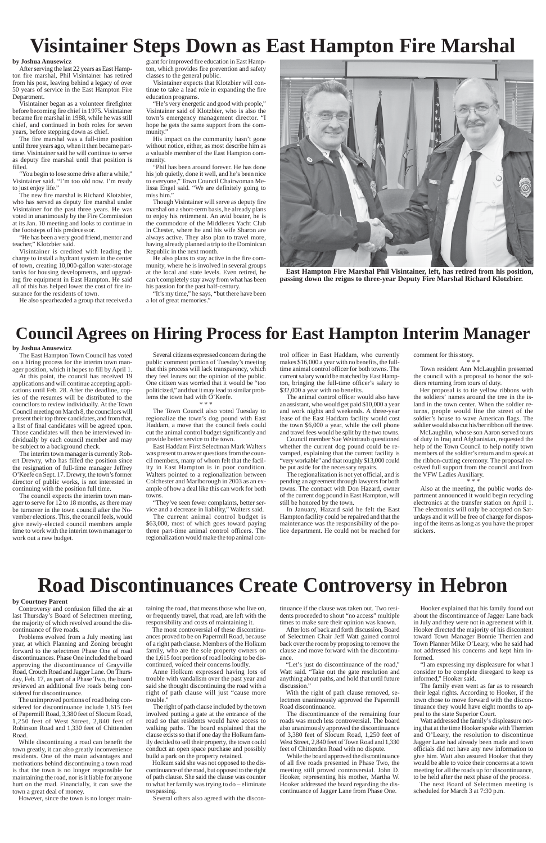# **Visintainer Steps Down as East Hampton Fire Marshal**

**by Joshua Anusewicz**

After serving the last 22 years as East Hampton fire marshal, Phil Visintainer has retired from his post, leaving behind a legacy of over 50 years of service in the East Hampton Fire Department.

Visintainer began as a volunteer firefighter before becoming fire chief in 1975. Visintainer became fire marshal in 1988, while he was still chief, and continued in both roles for seven years, before stepping down as chief.

The fire marshal was a full-time position until three years ago, when it then became parttime. Visintainer said he will continue to serve as deputy fire marshal until that position is filled.

"You begin to lose some drive after a while," Visintainer said. "I'm too old now. I'm ready to just enjoy life."

"He's very energetic and good with people," Visintainer said of Klotzbier, who is also the town's emergency management director. "I hope he gets the same support from the community.'

The new fire marshal is Richard Klotzbier, who has served as deputy fire marshal under Visintainer for the past three years. He was voted in unanimously by the Fire Commission at its Jan. 10 meeting and looks to continue in the footsteps of his predecessor.

His impact on the community hasn't gone without notice, either, as most describe him as a valuable member of the East Hampton community

"He has been a very good friend, mentor and teacher," Klotzbier said.

Visintainer is credited with leading the charge to install a hydrant system in the center of town, creating 10,000-gallon water-storage tanks for housing developments, and upgrading fire equipment in East Hampton. He said all of this has helped lower the cost of fire insurance for the residents of town.

"It's my time," he says, "but there have been a lot of great memories."

He also spearheaded a group that received a

grant for improved fire education in East Hampton, which provides fire prevention and safety classes to the general public.

Visintainer expects that Klotzbier will continue to take a lead role in expanding the fire education programs.

"Phil has been around forever. He has done his job quietly, done it well, and he's been nice to everyone," Town Council Chairwoman Melissa Engel said. "We are definitely going to miss him."

Though Visintainer will serve as deputy fire marshal on a short-term basis, he already plans to enjoy his retirement. An avid boater, he is the commodore of the Middlesex Yacht Club in Chester, where he and his wife Sharon are always active. They also plan to travel more, having already planned a trip to the Dominican Republic in the next month.

He also plans to stay active in the fire community, where he is involved in several groups at the local and state levels. Even retired, he can't completely stay away from what has been his passion for the past half-century.



**East Hampton Fire Marshal Phil Visintainer, left, has retired from his position, passing down the reigns to three-year Deputy Fire Marshal Richard Klotzbier.**

# **Council Agrees on Hiring Process for East Hampton Interim Manager**

## **by Joshua Anusewicz**

The East Hampton Town Council has voted on a hiring process for the interim town manager position, which it hopes to fill by April 1.

At this point, the council has received 19 applications and will continue accepting applications until Feb. 28. After the deadline, copies of the resumes will be distributed to the councilors to review individually. At the Town Council meeting on March 8, the councilors will present their top three candidates, and from that, a list of final candidates will be agreed upon. Those candidates will then be interviewed individually by each council member and may be subject to a background check.

The interim town manager is currently Robert Drewry, who has filled the position since the resignation of full-time manager Jeffrey O'Keefe on Sept. 17. Drewry, the town's former director of public works, is not interested in continuing with the position full time.

The council expects the interim town manager to serve for 12 to 18 months, as there may be turnover in the town council after the November elections. This, the council feels, would give newly-elected council members ample time to work with the interim town manager to work out a new budget.

Several citizens expressed concern during the public comment portion of Tuesday's meeting that this process will lack transparency, which they feel leaves out the opinion of the public. One citizen was worried that it would be "too politicized," and that it may lead to similar problems the town had with O'Keefe.

\* \* \*

The Town Council also voted Tuesday to regionalize the town's dog pound with East Haddam, a move that the council feels could cut the animal control budget significantly and provide better service to the town.

East Haddam First Selectman Mark Walters was present to answer questions from the council members, many of whom felt that the facility in East Hampton is in poor condition. Walters pointed to a regionalization between Colchester and Marlborough in 2003 as an example of how a deal like this can work for both towns.

"They've seen fewer complaints, better service and a decrease in liability," Walters said.

The current animal control budget is \$63,000, most of which goes toward paying three part-time animal control officers. The regionalization would make the top animal con-

trol officer in East Haddam, who currently makes \$16,000 a year with no benefits, the fulltime animal control officer for both towns. The current salary would be matched by East Hampton, bringing the full-time officer's salary to \$32,000 a year with no benefits.

The animal control officer would also have an assistant, who would get paid \$10,000 a year and work nights and weekends. A three-year lease of the East Haddam facility would cost the town \$6,000 a year, while the cell phone and travel fees would be split by the two towns.

Council member Sue Weintraub questioned whether the current dog pound could be revamped, explaining that the current facility is "very workable" and that roughly \$13,000 could be put aside for the necessary repairs.

The regionalization is not yet official, and is pending an agreement through lawyers for both towns. The contract with Don Hazard, owner of the current dog pound in East Hampton, will still be honored by the town.

In January, Hazard said he felt the East Hampton facility could be repaired and that the maintenance was the responsibility of the police department. He could not be reached for

comment for this story.

\* \* \* Town resident Ann McLaughlin presented the council with a proposal to honor the soldiers returning from tours of duty.

Her proposal is to tie yellow ribbons with the soldiers' names around the tree in the island in the town center. When the soldier returns, people would line the street of the soldier's house to wave American flags. The soldier would also cut his/her ribbon off the tree.

McLaughlin, whose son Aaron served tours of duty in Iraq and Afghanistan, requested the help of the Town Council to help notify town members of the soldier's return and to speak at the ribbon-cutting ceremony. The proposal received full support from the council and from the VFW Ladies Auxiliary. \* \* \*

Also at the meeting, the public works department announced it would begin recycling electronics at the transfer station on April 1. The electronics will only be accepted on Saturdays and it will be free of charge for disposing of the items as long as you have the proper stickers.

# **Road Discontinuances Create Controversy in Hebron**

# **by Courtney Parent**

Controversy and confusion filled the air at last Thursday's Board of Selectmen meeting,

the majority of which revolved around the discontinuance of five roads.

Problems evolved from a July meeting last year, at which Planning and Zoning brought forward to the selectmen Phase One of road discontinuances. Phase One included the board approving the discontinuance of Grayville Road, Crouch Road and Jagger Lane. On Thursday, Feb. 17, as part of a Phase Two, the board reviewed an additional five roads being considered for discontinuance.

The unimproved portions of road being considered for discontinuance include 1,615 feet of Papermill Road, 3,380 feet of Slocum Road, 1,250 feet of West Street, 2,840 feet of Robinson Road and 1,330 feet of Chittenden Road.

While discontinuing a road can benefit the town greatly, it can also greatly inconvenience residents. One of the main advantages and motivations behind discontinuing a town road is that the town is no longer responsible for maintaining the road, nor is it liable for anyone hurt on the road. Financially, it can save the town a great deal of money.

However, since the town is no longer main-

taining the road, that means those who live on, or frequently travel, that road, are left with the

responsibility and costs of maintaining it.

The most controversial of these discontinuances proved to be on Papermill Road, because of a right path clause. Members of the Holkum family, who are the sole property owners on the 1,615 foot portion of road looking to be discontinued, voiced their concerns loudly.

Anne Holkum expressed having lots of trouble with vandalism over the past year and said she thought discontinuing the road with a right of path clause will just "cause more trouble."

The right of path clause included by the town involved putting a gate at the entrance of the road so that residents would have access to walking paths. The board explained that the clause exists so that if one day the Holkum family decided to sell their property, the town could conduct an open space purchase and possibly build a park on the property retained.

Holkum said she was not opposed to the discontinuance of the road, but opposed to the right of path clause. She said the clause was counter to what her family was trying to do – eliminate trespassing.

Several others also agreed with the discon-

tinuance if the clause was taken out. Two residents proceeded to shout "no access" multiple

times to make sure their opinion was known.

After lots of back and forth discussion, Board of Selectmen Chair Jeff Watt gained control back over the room by proposing to remove the clause and move forward with the discontinuance.

"Let's just do discontinuance of the road," Watt said. "Take out the gate resolution and anything about paths, and hold that until future discussion."

With the right of path clause removed, selectmen unanimously approved the Papermill Road discontinuance.

The discontinuance of the remaining four roads was much less controversial. The board also unanimously approved the discontinuance of 3,380 feet of Slocum Road, 1,250 feet of West Street, 2,840 feet of Town Road and 1,330 feet of Chittenden Road with no dispute.

While the board approved the discontinuance of all five roads presented in Phase Two, the meeting still proved controversial. John D. Hooker, representing his mother, Martha W. Hooker addressed the board regarding the discontinuance of Jagger Lane from Phase One.

Hooker explained that his family found out about the discontinuance of Jagger Lane back in July and they were not in agreement with it. Hooker directed the majority of his discontent toward Town Manager Bonnie Therrien and Town Planner Mike O'Leary, who he said had not addressed his concerns and kept him informed. "I am expressing my displeasure for what I consider to be complete disregard to keep us informed," Hooker said. The family even went as far as to research their legal rights. According to Hooker, if the town chose to move forward with the discontinuance they would have eight months to appeal to the state Superior Court. Watt addressed the family's displeasure noting that at the time Hooker spoke with Therrien and O'Leary, the resolution to discontinue Jagger Lane had already been made and town officials did not have any new information to give him. Watt also assured Hooker that they would be able to voice their concerns at a town meeting for all the roads up for discontinuance, to be held after the next phase of the process. The next Board of Selectmen meeting is scheduled for March 3 at 7:30 p.m.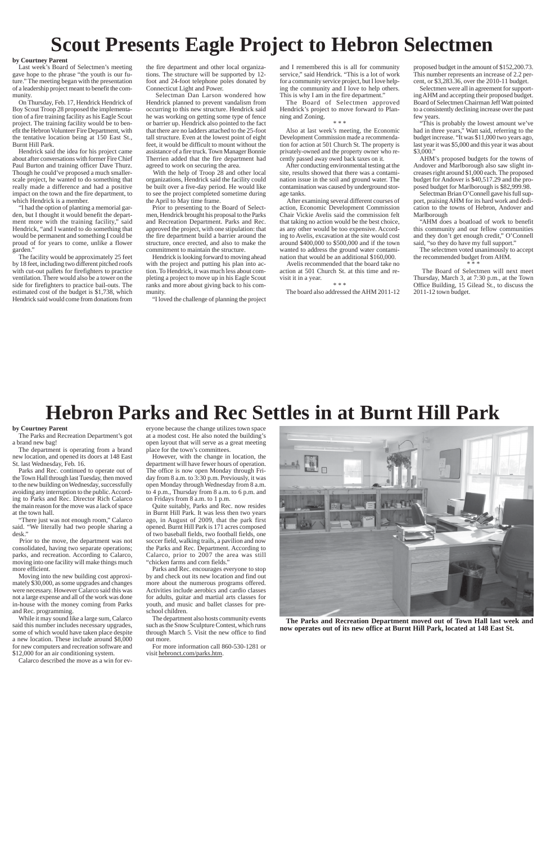# **Scout Presents Eagle Project to Hebron Selectmen**

## **by Courtney Parent**

Last week's Board of Selectmen's meeting gave hope to the phrase "the youth is our future." The meeting began with the presentation of a leadership project meant to benefit the community.

On Thursday, Feb. 17, Hendrick Hendrick of Boy Scout Troop 28 proposed the implementation of a fire training facility as his Eagle Scout project. The training facility would be to benefit the Hebron Volunteer Fire Department, with the tentative location being at 150 East St., Burnt Hill Park.

Hendrick said the idea for his project came about after conversations with former Fire Chief Paul Burton and training officer Dave Thurz. Though he could've proposed a much smallerscale project, he wanted to do something that really made a difference and had a positive impact on the town and the fire department, to which Hendrick is a member.

"I had the option of planting a memorial garden, but I thought it would benefit the department more with the training facility," said Hendrick, "and I wanted to do something that would be permanent and something I could be proud of for years to come, unlike a flower garden."

The facility would be approximately 25 feet by 18 feet, including two different pitched roofs with cut-out pallets for firefighters to practice ventilation. There would also be a tower on the side for firefighters to practice bail-outs. The estimated cost of the budget is \$1,738, which Hendrick said would come from donations from the fire department and other local organizations. The structure will be supported by 12 foot and 24-foot telephone poles donated by Connecticut Light and Power.

 Selectman Dan Larson wondered how Hendrick planned to prevent vandalism from occurring to this new structure. Hendrick said he was working on getting some type of fence or barrier up. Hendrick also pointed to the fact that there are no ladders attached to the 25-foot tall structure. Even at the lowest point of eight feet, it would be difficult to mount without the assistance of a fire truck. Town Manager Bonnie Therrien added that the fire department had agreed to work on securing the area.

With the help of Troop 28 and other local organizations, Hendrick said the facility could be built over a five-day period. He would like to see the project completed sometime during the April to May time frame.

Prior to presenting to the Board of Selectmen, Hendrick brought his proposal to the Parks and Recreation Department. Parks and Rec. approved the project, with one stipulation: that the fire department build a barrier around the structure, once erected, and also to make the commitment to maintain the structure.

Hendrick is looking forward to moving ahead with the project and putting his plan into action. To Hendrick, it was much less about completing a project to move up in his Eagle Scout ranks and more about giving back to his community.

"I loved the challenge of planning the project

and I remembered this is all for community service," said Hendrick. "This is a lot of work for a community service project, but I love helping the community and I love to help others. This is why I am in the fire department."

The Board of Selectmen approved Hendrick's project to move forward to Planning and Zoning.

#### \* \* \*

Also at last week's meeting, the Economic Development Commission made a recommendation for action at 501 Church St. The property is privately-owned and the property owner who recently passed away owed back taxes on it.

After conducting environmental testing at the site, results showed that there was a contamination issue in the soil and ground water. The contamination was caused by underground storage tanks.

After examining several different courses of action, Economic Development Commission Chair Vickie Avelis said the commission felt that taking no action would be the best choice, as any other would be too expensive. According to Avelis, excavation at the site would cost around \$400,000 to \$500,000 and if the town wanted to address the ground water contamination that would be an additional \$160,000.

Avelis recommended that the board take no action at 501 Church St. at this time and revisit it in a year.

\* \* \*

The board also addressed the AHM 2011-12

proposed budget in the amount of \$152,200.73. This number represents an increase of 2.2 percent, or \$3,283.36, over the 2010-11 budget.

Selectmen were all in agreement for supporting AHM and accepting their proposed budget. Board of Selectmen Chairman Jeff Watt pointed to a consistently declining increase over the past few years.

"This is probably the lowest amount we've had in three years," Watt said, referring to the budget increase. "It was \$11,000 two years ago, last year it was \$5,000 and this year it was about \$3,000."

AHM's proposed budgets for the towns of Andover and Marlborough also saw slight increases right around \$1,000 each. The proposed budget for Andover is \$40,517.29 and the proposed budget for Marlborough is \$82,999.98.

Selectman Brian O'Connell gave his full support, praising AHM for its hard work and dedication to the towns of Hebron, Andover and Marlborough

"AHM does a boatload of work to benefit this community and our fellow communities and they don't get enough credit," O'Connell said, "so they do have my full support."

The selectmen voted unanimously to accept the recommended budget from AHM. \* \* \*

 The Board of Selectmen will next meet Thursday, March 3, at 7:30 p.m., at the Town Office Building, 15 Gilead St., to discuss the 2011-12 town budget.

# **Hebron Parks and Rec Settles in at Burnt Hill Park**

**The Parks and Recreation Department moved out of Town Hall last week and now operates out of its new office at Burnt Hill Park, located at 148 East St.**

### **by Courtney Parent**

The Parks and Recreation Department's got a brand new bag!

The department is operating from a brand new location, and opened its doors at 148 East St. last Wednesday, Feb. 16.

Parks and Rec. continued to operate out of the Town Hall through last Tuesday, then moved to the new building on Wednesday, successfully avoiding any interruption to the public. According to Parks and Rec. Director Rich Calarco the main reason for the move was a lack of space at the town hall.

"There just was not enough room," Calarco said. "We literally had two people sharing a desk."

Prior to the move, the department was not consolidated, having two separate operations; parks, and recreation. According to Calarco, moving into one facility will make things much more efficient.

Moving into the new building cost approximately \$30,000, as some upgrades and changes were necessary. However Calarco said this was not a large expense and all of the work was done in-house with the money coming from Parks and Rec. programming.

While it may sound like a large sum, Calarco said this number includes necessary upgrades, some of which would have taken place despite a new location. These include around \$8,000 for new computers and recreation software and \$12,000 for an air conditioning system.

Calarco described the move as a win for ev-

eryone because the change utilizes town space at a modest cost. He also noted the building's open layout that will serve as a great meeting place for the town's committees.

However, with the change in location, the department will have fewer hours of operation. The office is now open Monday through Friday from 8 a.m. to 3:30 p.m. Previously, it was open Monday through Wednesday from 8 a.m. to 4 p.m., Thursday from 8 a.m. to 6 p.m. and on Fridays from 8 a.m. to 1 p.m.

Quite suitably, Parks and Rec. now resides in Burnt Hill Park. It was less then two years ago, in August of 2009, that the park first opened. Burnt Hill Park is 171 acres composed of two baseball fields, two football fields, one soccer field, walking trails, a pavilion and now the Parks and Rec. Department. According to Calarco, prior to 2007 the area was still "chicken farms and corn fields."

Parks and Rec. encourages everyone to stop by and check out its new location and find out more about the numerous programs offered. Activities include aerobics and cardio classes for adults, guitar and martial arts classes for youth, and music and ballet classes for preschool children.

The department also hosts community



such as the Snow Sculpture Contest, which runs through March 5. Visit the new office to find out more.

For more information call 860-530-1281 or visit hebronct.com/parks.htm.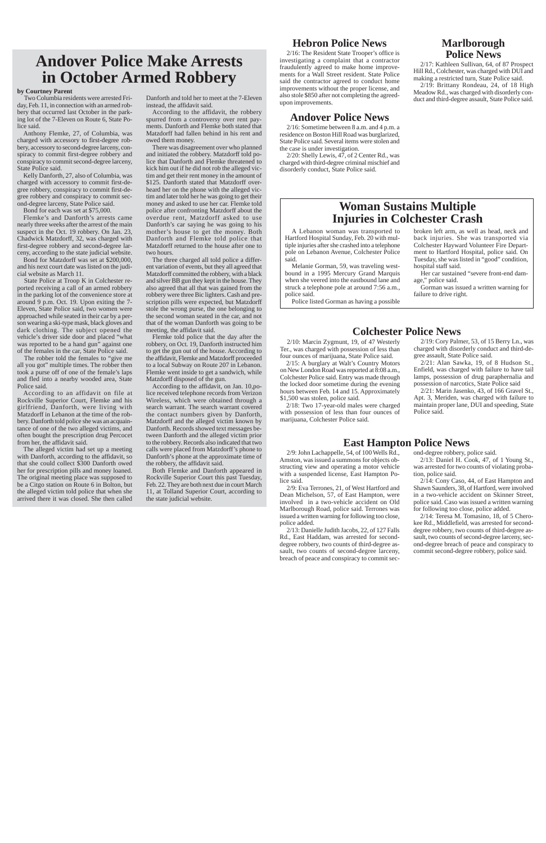# **Andover Police Make Arrests in October Armed Robbery**

## **by Courtney Parent**

Two Columbia residents were arrested Friday, Feb. 11, in connection with an armed robbery that occurred last October in the parking lot of the 7-Eleven on Route 6, State Police said.

Anthony Flemke, 27, of Columbia, was charged with accessory to first-degree robbery, accessory to second-degree larceny, conspiracy to commit first-degree robbery and conspiracy to commit second-degree larceny, State Police said.

Kelly Danforth, 27, also of Columbia, was charged with accessory to commit first-degree robbery, conspiracy to commit first-degree robbery and conspiracy to commit second-degree larceny, State Police said.

Bond for each was set at \$75,000.

Flemke's and Danforth's arrests came nearly three weeks after the arrest of the main suspect in the Oct. 19 robbery. On Jan. 23, Chadwick Matzdorff, 32, was charged with first-degree robbery and second-degree larceny, according to the state judicial website.

Bond for Matzdorff was set at \$200,000, and his next court date was listed on the judicial website as March 11.

State Police at Troop K in Colchester reported receiving a call of an armed robbery in the parking lot of the convenience store at around 9 p.m. Oct. 19. Upon exiting the 7- Eleven, State Police said, two women were approached while seated in their car by a person wearing a ski-type mask, black gloves and dark clothing. The subject opened the vehicle's driver side door and placed "what was reported to be a hand gun" against one of the females in the car, State Police said.

The robber told the females to "give me all you got" multiple times. The robber then took a purse off of one of the female's laps and fled into a nearby wooded area, State Police said.

According to an affidavit on file at Rockville Superior Court, Flemke and his girlfriend, Danforth, were living with Matzdorff in Lebanon at the time of the robbery. Danforth told police she was an acquaintance of one of the two alleged victims, and often bought the prescription drug Percocet from her, the affidavit said.

The alleged victim had set up a meeting with Danforth, according to the affidavit, so that she could collect \$300 Danforth owed her for prescription pills and money loaned. The original meeting place was supposed to be a Citgo station on Route 6 in Bolton, but the alleged victim told police that when she arrived there it was closed. She then called

Danforth and told her to meet at the 7-Eleven instead, the affidavit said.

According to the affidavit, the robbery spurred from a controversy over rent payments. Danforth and Flemke both stated that Matzdorff had fallen behind in his rent and owed them money.

There was disagreement over who planned and initiated the robbery. Matzdorff told police that Danforth and Flemke threatened to kick him out if he did not rob the alleged victim and get their rent money in the amount of \$125. Danforth stated that Matzdorff overheard her on the phone with the alleged victim and later told her he was going to get their money and asked to use her car. Flemke told police after confronting Matzdorff about the overdue rent, Matzdorff asked to use Danforth's car saying he was going to his mother's house to get the money. Both Danforth and Flemke told police that Matzdorff returned to the house after one to two hours.

The three charged all told police a different variation of events, but they all agreed that Matzdorff committed the robbery, with a black and silver BB gun they kept in the house. They also agreed that all that was gained from the robbery were three Bic lighters. Cash and prescription pills were expected, but Matzdorff stole the wrong purse, the one belonging to the second woman seated in the car, and not that of the woman Danforth was going to be meeting, the affidavit said.

Flemke told police that the day after the robbery, on Oct. 19, Danforth instructed him to get the gun out of the house. According to the affidavit, Flemke and Matzdorff proceeded to a local Subway on Route 207 in Lebanon. Flemke went inside to get a sandwich, while Matzdorff disposed of the gun.

According to the affidavit, on Jan. 10,police received telephone records from Verizon Wireless, which were obtained through a search warrant. The search warrant covered the contact numbers given by Danforth, Matzdorff and the alleged victim known by Danforth. Records showed text messages between Danforth and the alleged victim prior to the robbery. Records also indicated that two calls were placed from Matzdorff's phone to Danforth's phone at the approximate time of the robbery, the affidavit said.

Both Flemke and Danforth appeared in Rockville Superior Court this past Tuesday, Feb. 22. They are both next due in court March 11, at Tolland Superior Court, according to the state judicial website.

# **Hebron Police News**

2/16: The Resident State Trooper's office is investigating a complaint that a contractor fraudulently agreed to make home improvements for a Wall Street resident. State Police said the contractor agreed to conduct home improvements without the proper license, and also stole \$850 after not completing the agreedupon improvements.

# **Andover Police News**

2/16: Sometime between 8 a.m. and 4 p.m. a residence on Boston Hill Road was burglarized, State Police said. Several items were stolen and the case is under investigation.

2/20: Shelly Lewis, 47, of 2 Center Rd., was charged with third-degree criminal mischief and disorderly conduct, State Police said.

# **Woman Sustains Multiple Injuries in Colchester Crash**

# **Colchester Police News**

A Lebanon woman was transported to Hartford Hospital Sunday, Feb. 20 with multiple injuries after she crashed into a telephone pole on Lebanon Avenue, Colchester Police said.

Melanie Gorman, 59, was traveling westbound in a 1995 Mercury Grand Marquis when she veered into the eastbound lane and struck a telephone pole at around 7:56 a.m., police said.

Police listed Gorman as having a possible

broken left arm, as well as head, neck and back injuries. She was transported via Colchester Hayward Volunteer Fire Department to Hartford Hospital, police said. On Tuesday, she was listed in "good" condition, hospital staff said.

Her car sustained "severe front-end damage," police said.

Gorman was issued a written warning for failure to drive right.

2/10: Marcin Zygmunt, 19, of 47 Westerly Ter., was charged with possession of less than four ounces of marijuana, State Police said.

2/15: A burglary at Walt's Country Motors on New London Road was reported at 8:08 a.m., Colchester Police said. Entry was made through the locked door sometime during the evening hours between Feb. 14 and 15. Approximately \$1,500 was stolen, police said.

2/18: Two 17-year-old males were charged with possession of less than four ounces of marijuana, Colchester Police said.

2/19: Cory Palmer, 53, of 15 Berry Ln., was charged with disorderly conduct and third-degree assault, State Police said.

2/21: Alan Sawka, 19, of 8 Hudson St., Enfield, was charged with failure to have tail lamps, possession of drug paraphernalia and possession of narcotics, State Police said

2/21: Marin Jasenko, 43, of 166 Gravel St., Apt. 3, Meriden, was charged with failure to maintain proper lane, DUI and speeding, State Police said.

# **Marlborough Police News**

2/17: Kathleen Sullivan, 64, of 87 Prospect Hill Rd., Colchester, was charged with DUI and making a restricted turn, State Police said.

2/19: Brittany Rondeau, 24, of 18 High Meadow Rd., was charged with disorderly conduct and third-degree assault, State Police said.

# **East Hampton Police News**

2/9: John Lachappelle, 54, of 100 Wells Rd., Amston, was issued a summons for objects obstructing view and operating a motor vehicle with a suspended license, East Hampton Police said.

2/9: Eva Terrones, 21, of West Hartford and Dean Michelson, 57, of East Hampton, were involved in a two-vehicle accident on Old Marlborough Road, police said. Terrones was issued a written warning for following too close, police added.

2/13: Danielle Judith Jacobs, 22, of 127 Falls Rd., East Haddam, was arrested for seconddegree robbery, two counts of third-degree assault, two counts of second-degree larceny, breach of peace and conspiracy to commit second-degree robbery, police said.

2/13: Daniel H. Cook, 47, of 1 Young St., was arrested for two counts of violating probation, police said.

2/14: Cony Caso, 44, of East Hampton and Shawn Saunders, 38, of Hartford, were involved in a two-vehicle accident on Skinner Street, police said. Caso was issued a written warning for following too close, police added.

2/14: Teresa M. Tomasino, 18, of 5 Cherokee Rd., Middlefield, was arrested for seconddegree robbery, two counts of third-degree assault, two counts of second-degree larceny, second-degree breach of peace and conspiracy to commit second-degree robbery, police said.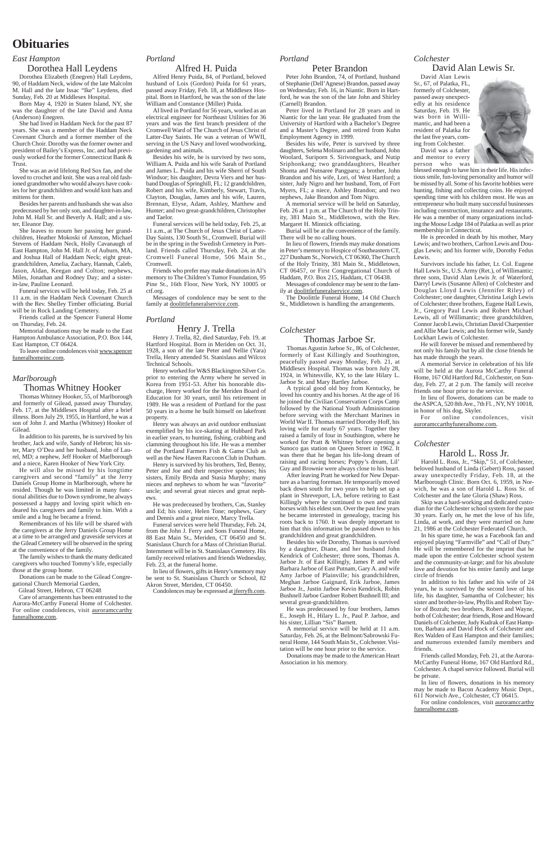# **Obituaries**

## *East Hampton*

# Dorothea Hall Leydens

Dorothea Elizabeth (Enegren) Hall Leydens, 90, of Haddam Neck, widow of the late Malcolm M. Hall and the late Issac "Ike" Leydens, died Sunday, Feb. 20 at Middlesex Hospital.

Born May 4, 1920 in Staten Island, NY, she was the daughter of the late David and Anna (Anderson) Enegren.

She had lived in Haddam Neck for the past 87 years. She was a member of the Haddam Neck Covenant Church and a former member of the Church Choir. Dorothy was the former owner and president of Bailey's Express, Inc. and had previously worked for the former Connecticut Bank & Trust.

She was an avid lifelong Red Sox fan, and she loved to crochet and knit. She was a real old fashioned grandmother who would always have cookies for her grandchildren and would knit hats and mittens for them.

Besides her parents and husbands she was also predeceased by her only son, and daughter-in-law, John M. Hall Sr. and Beverly A. Hall; and a sister, Eleanor Day.

She leaves to mourn her passing her grandchildren, Heather Mokoski of Amston, Michael Stevens of Haddam Neck, Holly Cavanaugh of East Hampton, John M. Hall Jr. of Auburn, MA, and Joshua Hall of Haddam Neck; eight greatgrandchildren, Amelia, Zachary, Hannah, Caleb, Jason, Aldan, Keegan and Colton; nephews, Miles, Jonathan and Rodney Day; and a sisterin-law, Pauline Leonard.

Funeral services will be held today, Feb. 25 at 11 a.m. in the Haddam Neck Covenant Church with the Rev. Shelley Timber officiating. Burial will be in Rock Landing Cemetery.

Friends called at the Spencer Funeral Home on Thursday, Feb. 24.

Memorial donations may be made to the East Hampton Ambulance Association, P.O. Box 144, East Hampton, CT 06424.

To leave online condolences visit www.spencer funeralhomeinc.com.

## *Marlborough*

# Thomas Whitney Hooker

Thomas Whitney Hooker, 55, of Marlborough and formerly of Gilead, passed away Thursday, Feb. 17, at the Middlesex Hospital after a brief illness. Born July 29, 1955, in Hartford, he was a son of John J. and Martha (Whitney) Hooker of Gilead.

In addition to his parents, he is survived by his brother, Jack and wife, Sandy of Hebron; his sister, Mary O'Dea and her husband, John of Laurel, MD; a nephew, Jeff Hooker of Marlborough and a niece, Karen Hooker of New York City.

He will also be missed by his longtime caregivers and second "family" at the Jerry Daniels Group Home in Marlborough, where he resided. Though he was limited in many functional abilities due to Down syndrome, he always possessed a happy and loving spirit which endeared his caregivers and family to him. With a smile and a hug he became a friend.

Remembrances of his life will be shared with the caregivers at the Jerry Daniels Group Home at a time to be arranged and graveside services at the Gilead Cemetery will be observed in the spring at the convenience of the family.

The family wishes to thank the many dedicated caregivers who touched Tommy's life, especially those at the group home.

Donations can be made to the Gilead Congregational Church Memorial Garden,

Gilead Street, Hebron, CT 06248

Care of arrangements has been entrusted to the Aurora-McCarthy Funeral Home of Colchester. For online condolences, visit **auroramccarthy** funeralhome.com.

## *Portland*

# Alfred H. Puida

Alfred Henry Puida, 84, of Portland, beloved husband of Lois (Gordon) Puida for 61 years, passed away Friday, Feb. 18, at Middlesex Hospital. Born in Hartford, he was the son of the late William and Constance (Miller) Puida.

Al lived in Portland for 56 years, worked as an electrical engineer for Northeast Utilities for 36 years and was the first branch president of the Cromwell Ward of The Church of Jesus Christ of Latter-Day Saints. He was a veteran of WWII, serving in the US Navy and loved woodworking, gardening and animals.

Besides his wife, he is survived by two sons, William A. Puida and his wife Sarah of Portland and James L. Puida and his wife Sherri of South Windsor; his daughter, Devra Viers and her husband Douglas of Springhill, FL; 12 grandchildren, Robert and his wife, Kimberly, Stewart, Travis, Clayton, Douglas, James and his wife, Lauren, Brennan, Elyse, Adam, Ashley, Matthew and Hunter; and two great-grandchildren, Christopher and Taelor.

Funeral services will be held today, Feb. 25, at 11 a.m., at The Church of Jesus Christ of Latter-Day Saints, 130 South St., Cromwell. Burial will be in the spring in the Swedish Cemetery in Portland. Friends called Thursday, Feb. 24, at the Cromwell Funeral Home, 506 Main St., Cromwell.

Friends who prefer may make donations in Al's memory to The Children's Tumor Foundation, 95 Pine St., 16th Floor, New York, NY 10005 or ctf.org.

Messages of condolence may be sent to the family at doolittlefuneralservice.com.

## *Portland*

# Henry J. Trella

Henry J. Trella, 82, died Saturday, Feb. 19, at Hartford Hospital. Born in Meriden on Oct. 31, 1928, a son of the late Peter and Nellie (Yara) Trella, Henry attended St. Stanislaus and Wilcox Technical Schools.

Henry worked for W&S Blackington Silver Co. prior to entering the Army where he served in Korea from 1951-53. After his honorable discharge, Henry worked for the Meriden Board of Education for 30 years, until his retirement in 1989. He was a resident of Portland for the past 50 years in a home he built himself on lakefront property.

Henry was always an avid outdoor enthusiast exemplified by his ice-skating at Hubbard Park in earlier years, to hunting, fishing, crabbing and clamming throughout his life. He was a member of the Portland Farmers Fish & Game Club as well as the New Haven Raccoon Club in Durham.

Henry is survived by his brothers, Ted, Benny, Peter and Joe and their respective spouses; his sisters, Emily Bryda and Stasia Murphy; many nieces and nephews to whom he was "favorite" uncle; and several great nieces and great nephews.

He was predeceased by brothers, Cas, Stanley and Ed; his sister, Helen Tone; nephews, Gary and Dennis and a great niece, Marcy Trella.

Funeral services were held Thursday, Feb. 24, from the John J. Ferry and Sons Funeral Home, 88 East Main St., Meriden, CT 06450 and St. Stanislaus Church for a Mass of Christian Burial. Internment will be in St. Stanislaus Cemetery. His family received relatives and friends Wednesday, Feb. 23, at the funeral home.

In lieu of flowers, gifts in Henry's memory may be sent to St. Stanislaus Church or School, 82 Akron Street, Meriden, CT 06450.

Condolences may be expressed at jferryfh.com.

## *Portland*

# Peter Brandon

Peter John Brandon, 74, of Portland, husband of Stephanie (Dell'Agnese) Brandon, passed away on Wednesday, Feb. 16, in Niantic. Born in Hartford, he was the son of the late John and Shirley (Carnell) Brandon.

Peter lived in Portland for 28 years and in Niantic for the last year. He graduated from the University of Hartford with a Bachelor's Degree and a Master's Degree, and retired from Kuhn Employment Agency in 1999.

Besides his wife, Peter is survived by three daughters, Selena Molinaro and her husband, John Woolard, Suriporn S. Sirivongsack, and Nutip Sriphonkang; two granddaughters, Heather Shonta and Nutnaree Pangparu; a brother, John Brandon and his wife, Lori, of West Hartford; a sister, Judy Nigro and her husband, Tom, of Fort Myers, FL; a niece, Ashley Brandon; and two nephews, Jake Brandon and Tom Nigro.

A memorial service will be held on Saturday, Feb. 26 at 1 p.m. at The Church of the Holy Trinity, 381 Main St., Middletown, with the Rev. Margaret H. Minnick officiating.

Burial will be at the convenience of the family. There will be no calling hours.

In lieu of flowers, friends may make donations in Peter's memory to Hospice of Southeastern CT, 227 Dunham St., Norwich, CT 06360, The Church of the Holy Trinity, 381 Main St., Middletown, CT 06457, or First Congregational Church of Haddam, P.O. Box 215, Haddam, CT 06438.

Messages of condolence may be sent to the family at doolittlefuneralservice.com.

The Doolittle Funeral Home, 14 Old Church St., Middletown is handling the arrangements.

### *Colchester*

# Harold L. Ross Jr.

Harold L. Ross, Jr., "Skip," 51, of Colchester, beloved husband of Linda (Gebert) Ross, passed away unexpectedly Friday, Feb. 18, at the Marlborough Clinic. Born Oct. 6, 1959, in Norwich, he was a son of Harold L. Ross Sr. of Colchester and the late Gloria (Shaw) Ross.

Skip was a hard-working and dedicated custodian for the Colchester school system for the past 30 years. Early on, he met the love of his life, Linda, at work, and they were married on June 21, 1986 at the Colchester Federated Church.

In his spare time, he was a Facebook fan and enjoyed playing "Farmville" and "Call of Duty." He will be remembered for the imprint that he made upon the entire Colchester school system and the community-at-large; and for his absolute love and devotion for his entire family and large circle of friends

In addition to his father and his wife of 24 years, he is survived by the second love of his life, his daughter, Samantha of Colchester; his sister and brother-in-law, Phyllis and Robert Taylor of Bozrah; two brothers, Robert and Wayne, both of Colchester; dear friends, Rose and Howard Daniels of Colchester, Judy Kudrak of East Hampton, Barbara and David Hock of Colchester and Rex Walden of East Hampton and their families; and numerous extended family members and friends. Friends called Monday, Feb. 21, at the Aurora-McCarthy Funeral Home, 167 Old Hartford Rd., Colchester. A chapel service followed. Burial will be private.



In lieu of flowers, donations in his memory may be made to Bacon Academy Music Dept., 611 Norwich Ave., Colchester, CT 06415.

For online condolences, visit auroramccarthy funeralhome.com.

# *Colchester*

David Alan Lewis Sr.

David Alan Lewis Sr., 67, of Palatka, FL, formerly of Colchester, passed away unexpectedly at his residence Saturday, Feb. 19. He was born in Willimantic, and had been a resident of Palatka for the last five years, coming from Colchester.

David was a father and mentor to every person who was

blessed enough to have him in their life. His infectious smile, fun-loving personality and humor will be missed by all. Some of his favorite hobbies were hunting, fishing and collecting coins. He enjoyed spending time with his children most. He was an entrepreneur who built many successful businesses including construction, insurance and restaurants. He was a member of many organizations including the Moose Lodge 184 of Palatka as well as prior membership in Connecticut.

He is preceded in death by his mother, Mary Lewis; and two brothers, Carlton Lewis and Douglas Lewis; and his former wife, Dorothy Fedus Lewis.

Survivors include his father, Lt. Col. Eugene Hall Lewis Sr., U.S. Army (Ret.), of Willimantic; three sons, David Alan Lewis Jr. of Waterford, Darryl Lewis (Susanne Allen) of Colchester and Douglas Lloyd Lewis (Jennifer Riley) of Colchester; one daughter, Christina Leigh Lewis of Colchester; three brothers, Eugene Hall Lewis, Jr., Gregory Paul Lewis and Robert Michael Lewis, all of Willimantic; three grandchildren, Connor Jacob Lewis, Christian David Charpentier and Allie Mae Lewis; and his former wife, Sandy Lockhart Lewis of Colchester.

He will forever be missed and remembered by not only his family but by all the close friends he has made through the years.

A memorial Service in celebration of his life will be held at the Aurora McCarthy Funeral Home, 167 Old Hartford Rd., Colchester, on Sunday, Feb. 27, at 2 p.m. The family will receive friends one hour prior to the service.

In lieu of flowers, donations can be made to the ASPCA, 520 8th Ave., 7th Fl. , NY, NY 10018,

in honor of his dog, Skyler. condolences, visit auroramccarthyfuneralhome.com.

# *Colchester*

# Thomas Jarboe Sr.

Thomas Agustin Jarboe Sr., 86, of Colchester, formerly of East Killingly and Southington, peacefully passed away Monday, Feb. 21, at Middlesex Hospital. Thomas was born July 28, 1924, in Whitesville, KY, to the late Hilary L. Jarboe Sr. and Mary Bartley Jarboe.

A typical good old boy from Kentucky, he loved his country and his horses. At the age of 16 he joined the Civilian Conservation Corps Camp followed by the National Youth Administration before serving with the Merchant Marines in World War II. Thomas married Dorothy Hoff, his loving wife for nearly 67 years. Together they raised a family of four in Southington, where he worked for Pratt & Whitney before opening a Sunoco gas station on Queen Street in 1962. It was there that he began his life-long dream of raising and racing horses; Poppy's dream, Lil' Guy and Brownie were always close to his heart.

After leaving Pratt he worked for New Departure as a barring foreman. He temporarily moved back down south for two years to help set up a plant in Shreveport, LA, before retiring to East Killingly where he continued to own and train horses with his eldest son. Over the past few years he became interested in genealogy, tracing his roots back to 1760. It was deeply important to him that this information be passed down to his grandchildren and great grandchildren.

Besides his wife Dorothy, Thomas is survived by a daughter, Diane, and her husband John Kendrick of Colchester; three sons, Thomas A. Jarboe Jr. of East Killingly, James P. and wife Barbara Jarboe of East Putnam, Gary A. and wife Amy Jarboe of Plainville; his grandchildren, Meghan Jarboe Gaignard, Erik Jarboe, James Jarboe Jr., Justin Jarboe Kevin Kendrick, Robin Bushnell Jarboe Gardner Robert Bushnell III; and several great-grandchildren.

He was predeceased by four brothers, James E., Joseph H., Hilary L. Jr., Paul P. Jarboe, and

his sister, Lillian "Sis" Barnett.

A memorial service will be held at 11 a.m. Saturday, Feb. 26, at the Belmont/Sabrowski Funeral Home, 144 South Main St., Colchester. Visitation will be one hour prior to the service.

Donations may be made to the American Heart Association in his memory.